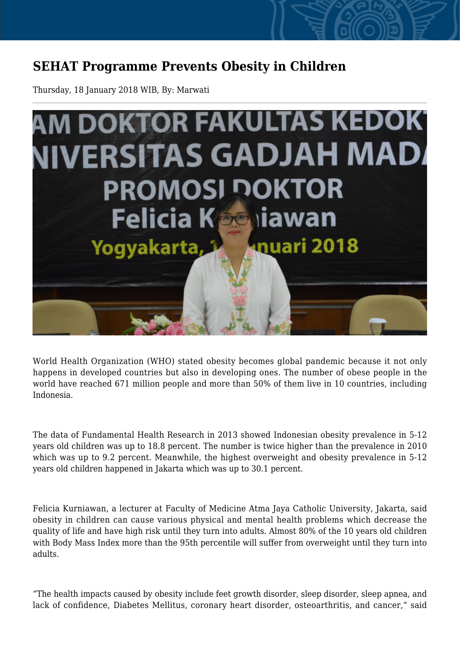## **SEHAT Programme Prevents Obesity in Children**

Thursday, 18 January 2018 WIB, By: Marwati



World Health Organization (WHO) stated obesity becomes global pandemic because it not only happens in developed countries but also in developing ones. The number of obese people in the world have reached 671 million people and more than 50% of them live in 10 countries, including Indonesia.

The data of Fundamental Health Research in 2013 showed Indonesian obesity prevalence in 5-12 years old children was up to 18.8 percent. The number is twice higher than the prevalence in 2010 which was up to 9.2 percent. Meanwhile, the highest overweight and obesity prevalence in 5-12 years old children happened in Jakarta which was up to 30.1 percent.

Felicia Kurniawan, a lecturer at Faculty of Medicine Atma Jaya Catholic University, Jakarta, said obesity in children can cause various physical and mental health problems which decrease the quality of life and have high risk until they turn into adults. Almost 80% of the 10 years old children with Body Mass Index more than the 95th percentile will suffer from overweight until they turn into adults.

"The health impacts caused by obesity include feet growth disorder, sleep disorder, sleep apnea, and lack of confidence, Diabetes Mellitus, coronary heart disorder, osteoarthritis, and cancer," said